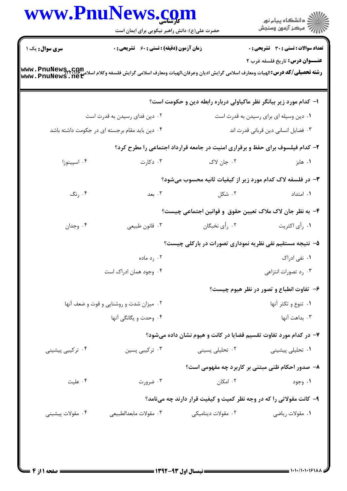|                                         | حضرت علی(ع): دانش راهبر نیکویی برای ایمان است      |                                                                                                                                                                                                              | ر<br>دانشڪاه پيام نور)<br>اڳ مرڪز آزمون وسنڊش                                 |  |
|-----------------------------------------|----------------------------------------------------|--------------------------------------------------------------------------------------------------------------------------------------------------------------------------------------------------------------|-------------------------------------------------------------------------------|--|
| سری سوال: یک ۱                          | <b>زمان آزمون (دقیقه) : تستی : 60 ٪ تشریحی : 0</b> |                                                                                                                                                                                                              | <b>تعداد سوالات : تستی : 30 ٪ تشریحی : 0</b>                                  |  |
|                                         |                                                    | <b>عنـــوان درس:</b> تاريخ فلسفه غرب ٢<br><b>رشته تحصیلی/کد درس:</b> الهیات ومعارف اسلامی گرایش ادیان وعرفان،الهیات ومعارف اسلامی گرایش فلسفه وکلام اسلامع <b>www . PnuNewS , net</b><br>www . PnuNews . net |                                                                               |  |
|                                         |                                                    |                                                                                                                                                                                                              | ا– کدام مورد زیر بیانگر نظر ماکیاولی درباره رابطه دین و حکومت است؟            |  |
|                                         | ۰۲ دین فدای رسیدن به قدرت است                      |                                                                                                                                                                                                              | ۰۱ دین وسیله ای برای رسیدن به قدرت است                                        |  |
|                                         | ۰۴ دین باید مقام برجسته ای در جکومت داشته باشد     |                                                                                                                                                                                                              | ۰۳ فضایل انسانی دین قربانی قدرت اند                                           |  |
|                                         |                                                    |                                                                                                                                                                                                              | ۲- کدام فیلسوف برای حفظ و برقراری امنیت در جامعه قرارداد اجتماعی را مطرح کرد؟ |  |
| ۰۴ اسپینوزا                             | ۰۳ دکارت                                           | ۰۲ جان لاک                                                                                                                                                                                                   | ۰۱ هابز                                                                       |  |
|                                         |                                                    |                                                                                                                                                                                                              | ۳- در فلسفه لاک کدام مورد زیر از کیفیات ثانیه محسوب میشود؟                    |  |
| ۰۴ رنگ                                  | ۰۳ بعد                                             | ۰۲ شکل                                                                                                                                                                                                       | ۰۱ امتداد                                                                     |  |
|                                         |                                                    |                                                                                                                                                                                                              | ۴– به نظر جان لاک ملاک تعیین حقوق و قوانین اجتماعی چیست؟                      |  |
| ۰۴ وجدان                                | ۰۳ قانون طبیعی                                     | ۰۲ رأى نخبگان                                                                                                                                                                                                | ۰۱ رأى اكثريت                                                                 |  |
|                                         |                                                    | ۵- نتیجه مستقیم نفی نظریه نموداری تصورات در بارکلی چیست؟                                                                                                                                                     |                                                                               |  |
|                                         | ۰۲ رد ماده                                         |                                                                                                                                                                                                              | ۰۱ نفی ادراک                                                                  |  |
|                                         | ۰۴ وجود همان ادراک است                             |                                                                                                                                                                                                              | ۰۳ رد تصورات انتزاعی                                                          |  |
|                                         |                                                    |                                                                                                                                                                                                              | ۶- تفاوت انطباع و تصور در نظر هیوم چیست؟                                      |  |
| ۰۲ میزان شدت و روشنایی و قوت و ضعف آنها |                                                    |                                                                                                                                                                                                              | ٠١. تنوع و تكثر آنها                                                          |  |
|                                         | ۰۴ وحدت و یگانگی آنها                              |                                                                                                                                                                                                              | ٠٣ بداهت آنها                                                                 |  |
|                                         |                                                    |                                                                                                                                                                                                              | ۷- در کدام مورد تفاوت تقسیم قضایا در کانت و هیوم نشان داده میشود؟             |  |
| ۰۴ ترکیبی پیشینی                        | ۰۳ ترکیبی پسین                                     | ۰۲ تحلیلی پسینی                                                                                                                                                                                              | ۰۱ تحلیلی پیشینی                                                              |  |
|                                         |                                                    |                                                                                                                                                                                                              | ۸– صدور احکام ظنی مبتنی بر کاربرد چه مفهومی است؟                              |  |
| ۰۴ علیت                                 | ۰۳ ضرورت                                           | ۰۲ امکان                                                                                                                                                                                                     | ۰۱ وجود                                                                       |  |
|                                         |                                                    |                                                                                                                                                                                                              | ۹- کانت مقولاتی را که در وجه نظر کمیت و کیفیت قرار دارند چه مینامد؟           |  |
| ۰۴ مقولات پیشینی                        | ٠٣ مقولات مابعدالطبيعي                             | ۰۲ مقولات دینامیکی                                                                                                                                                                                           | ۰۱ مقولات رياضي                                                               |  |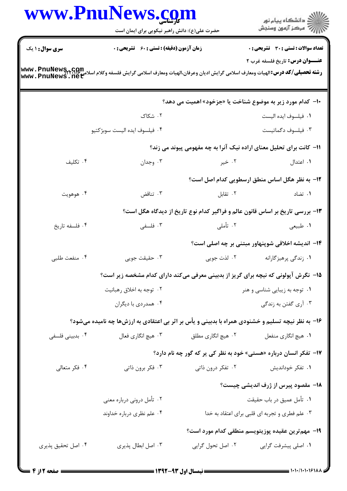|                        | www.PnuNews.com<br>حضرت علی(ع): دانش راهبر نیکویی برای ایمان است                                                                                                                                             |                    | ڪ دانشڪاه پيام نور<br>ر∕⊂ مرڪز آزمون وسنڊش                                    |  |  |
|------------------------|--------------------------------------------------------------------------------------------------------------------------------------------------------------------------------------------------------------|--------------------|-------------------------------------------------------------------------------|--|--|
| <b>سری سوال : ۱ یک</b> | <b>زمان آزمون (دقیقه) : تستی : 60 ٪ تشریحی : 0</b>                                                                                                                                                           |                    | <b>تعداد سوالات : تستی : 30 ٪ تشریحی : 0</b>                                  |  |  |
|                        | <b>عنـــوان درس:</b> تاریخ فلسفه غرب ۲<br><b>رشته تحصیلی/کد درس:</b> الهیات ومعارف اسلامی گرایش ادیان وعرفان،الهیات ومعارف اسلامی گرایش فلسفه وکلام اسلامی <b>www . PnuNewS , net</b><br>www . PnuNews . net |                    |                                                                               |  |  |
|                        |                                                                                                                                                                                                              |                    | +ا- کدام مورد زیر به موضوع شناخت یا «جزخود» اهمیت می دهد؟                     |  |  |
|                        | ۰۲ شکاک                                                                                                                                                                                                      |                    | ٠١ فيلسوف ايده اليست                                                          |  |  |
|                        | ۰۴ فيلسوف ايده اليست سوبژكتيو                                                                                                                                                                                |                    | ۰۳ فیلسوف دگماتیست                                                            |  |  |
|                        |                                                                                                                                                                                                              |                    | 11- کانت برای تحلیل معنای اراده نیک آنرا به چه مفهومی پیوند می زند؟           |  |  |
| ۰۴ تکلیف               | ۰۳ وجدان                                                                                                                                                                                                     | ۰۲ خیر             | ۰۱ اعتدال                                                                     |  |  |
|                        |                                                                                                                                                                                                              |                    | 1۲– به نظر هگل اساس منطق ارسطویی کدام اصل است؟                                |  |  |
| ۰۴ هوهويت              | ۰۳ تناقض                                                                                                                                                                                                     | ٠٢ تقابل           | ۰۱ تضاد                                                                       |  |  |
|                        |                                                                                                                                                                                                              |                    | ۱۳- بررسی تاریخ بر اساس قانون عالم و فراگیر کدام نوع تاریخ از دیدگاه هگل است؟ |  |  |
| ۰۴ فلسفه تاريخ         | ۰۳ فلسفی                                                                                                                                                                                                     | ۲. تأملی           | ۰۱ طبیعی                                                                      |  |  |
|                        |                                                                                                                                                                                                              |                    | ۱۴– اندیشه اخلاقی شوپنهاور مبتنی بر چه اصلی است؟                              |  |  |
| ۰۴ منفعت طلبي          | ۰۳ حقیقت جویی                                                                                                                                                                                                | ۲. لذت جويي        | ۰۱ زندگی پرهیزگارانه                                                          |  |  |
|                        | ۱۵– نگرش آپولونی که نیچه برای گریز از بدبینی معرفی میکند دارای کدام مشخصه زیر است؟                                                                                                                           |                    |                                                                               |  |  |
|                        | ۰۲ توجه به اخلاق رهبانيت                                                                                                                                                                                     |                    | ۰۱ توجه به زیبایی شناسی و هنر                                                 |  |  |
|                        | ۰۴ همدردي با ديگران                                                                                                                                                                                          |                    | ۰۳ آری گفتن به زندگی                                                          |  |  |
|                        | ۱۶- به نظر نیچه تسلیم و خشنودی همراه با بدبینی و یأس بر اثر بی اعتقادی به ارزشها چه نامیده میشود؟                                                                                                            |                    |                                                                               |  |  |
| ۰۴ بدبینی فلسفی        | ۰۳ هيچ انگاري فعال                                                                                                                                                                                           | ۰۲ هیچ انگاری مطلق | ۰۱ هيچ انگاري منفعل                                                           |  |  |
|                        |                                                                                                                                                                                                              |                    | ۱۷- تفکر انسان درباره «هستی» خود به نظر کی پر که گور چه نام دارد؟             |  |  |
| ۰۴ فکر متعالی          | ۰۳ فکر برون ذاتی                                                                                                                                                                                             | ۰۲ تفکر درون ذاتی  | ۰۱ تفکر خوداندیش                                                              |  |  |
|                        |                                                                                                                                                                                                              |                    | <b>۱۸</b> - مقصود پیرس از ژرف اندیشی چیست؟                                    |  |  |
|                        | ۰۲ تأمل درونی درباره معنی                                                                                                                                                                                    |                    | ٠١ تأمل عميق در باب حقيقت                                                     |  |  |
|                        | ۰۴ علم نظری درباره خداوند                                                                                                                                                                                    |                    | ۰۳ علم فطری و تجربه ای قلبی برای اعتقاد به خدا                                |  |  |
|                        |                                                                                                                                                                                                              |                    | 19– مهم ترین عقیده پوزیتویسم منطقی کدام مورد است؟                             |  |  |
| ۰۴ اصل تحقیق پذیری     | ۰۳ اصل ابطال پذیری                                                                                                                                                                                           | ۰۲ اصل تحول گرایی  | ۰۱ اصلی پیشرفت گرایی                                                          |  |  |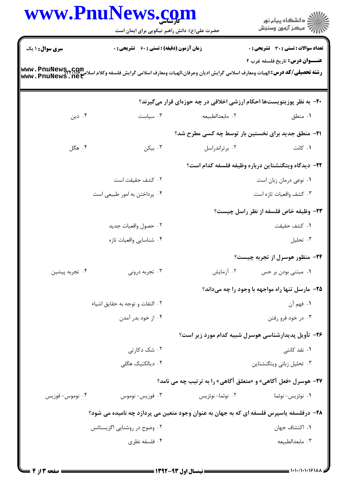|                        | حضرت علی(ع): دانش راهبر نیکویی برای ایمان است                                                                                                                       |                                                                      | ِ دانشڪاه پيا <sub>م</sub> نور<br>/∕ مرڪز آزمون وسنڊش      |
|------------------------|---------------------------------------------------------------------------------------------------------------------------------------------------------------------|----------------------------------------------------------------------|------------------------------------------------------------|
| <b>سری سوال : ۱ یک</b> | <b>زمان آزمون (دقیقه) : تستی : 60 ٪ تشریحی : 0</b>                                                                                                                  |                                                                      | <b>تعداد سوالات : تستی : 30 ٪ تشریحی : 0</b>               |
|                        | <b>رشته تحصیلی/کد درس:</b> الهیات ومعارف اسلامی گرایش ادیان وعرفان،الهیات ومعارف اسلامی گرایش فلسفه وکلام اسلامی <b>www . PnuNewS, ، net</b><br>www . PnuNews . net |                                                                      | <b>عنـــوان درس:</b> تاريخ فلسفه غرب ٢                     |
|                        |                                                                                                                                                                     | ۲۰- به نظر پوزیتویستها احکام ارزشی اخلاقی در چه حوزهای قرار میگیرند؟ |                                                            |
| ۰۴ دین                 | $\cdot$ ۳ سیاست                                                                                                                                                     | ٢. مابعدالطبيعه                                                      | ۰۱ منطق                                                    |
|                        |                                                                                                                                                                     | <b>۲۱</b> - منطق جدید برای نخستین بار توسط چه کسی مطرح شد؟           |                                                            |
| ۰۴ هگل                 | ۰۳ بیکن                                                                                                                                                             | ۰۲ برتراندراسل                                                       | ۰۱ کانت                                                    |
|                        |                                                                                                                                                                     |                                                                      | <b>٢٢</b> - ديدگاه ويتگنشتاين درباره وظيفه فلسفه كدام است؟ |
|                        | ۰۲ کشف حقیقت است                                                                                                                                                    |                                                                      | ٠١ نوعي درمان زبان است                                     |
|                        | ۰۴ پرداختن به امور طبیعی است                                                                                                                                        |                                                                      | ۰۳ کشف واقعیات تازه است                                    |
|                        |                                                                                                                                                                     |                                                                      | ۲۳- وظیفه خاص فلسفه از نظر راسل چیست؟                      |
|                        | ۰۲ حصول واقعیات جدید                                                                                                                                                |                                                                      | ٠١ كشف حقيقت                                               |
|                        | ۰۴ شناسايي واقعيات تازه                                                                                                                                             |                                                                      | ۰۳ تحليل                                                   |
|                        |                                                                                                                                                                     |                                                                      | ۲۴- منظور هوسرل از تجربه چیست؟                             |
| ۰۴ تجربه پیشین         | ۰۳ تجربه درونی                                                                                                                                                      | ۰۲ آزمایش                                                            | ۰۱ مبتنی بودن بر حس                                        |
|                        |                                                                                                                                                                     |                                                                      | ۲۵- مارسل تنها راه مواجهه با وجود را چه میداند؟            |
|                        | ٠٢ التفات و توجه به حقايق اشياء                                                                                                                                     |                                                                      | ١. فهم أن                                                  |
|                        | ۰۴ از خود بدر آمدن                                                                                                                                                  |                                                                      | ۰۳ در خود فرو رفتن                                         |
|                        |                                                                                                                                                                     | ۲۶– تأویل پدیدارشناسی هوسرل شبیه کدام مورد زیر است؟                  |                                                            |
|                        | ۰۲ شک دکارتی                                                                                                                                                        |                                                                      | ۰۱ نقد کانتی                                               |
|                        | ۰۴ دیالکتیک هگلی                                                                                                                                                    |                                                                      | ۰۳ تحلیل زبانی ویتگنشتاین                                  |
|                        |                                                                                                                                                                     | <b>۲۷- هوسرل «فعل آگاهی» و «متعلق آگاهی» را به ترتیب چه می نامد؟</b> |                                                            |
| ۰۴ نوموس- فوزيس        | ۰۳ فوزيس- نوموس                                                                                                                                                     | ٢. نوئما-نوئزيس                                                      | ۰۱ نوئزيس- نوئما                                           |
|                        | ۲۸- درفلسفه یاسپرس فلسفه ای که به جهان به عنوان وجود متعین می پردازد چه نامیده می شود؟                                                                              |                                                                      |                                                            |
|                        | ۰۲ وضوح در روشنایی اگزیستانس                                                                                                                                        |                                                                      | ٠١. اكتشاف جهان                                            |
|                        | ۰۴ فلسفه نظری                                                                                                                                                       |                                                                      | ٠٣ مابعدالطبيعه                                            |